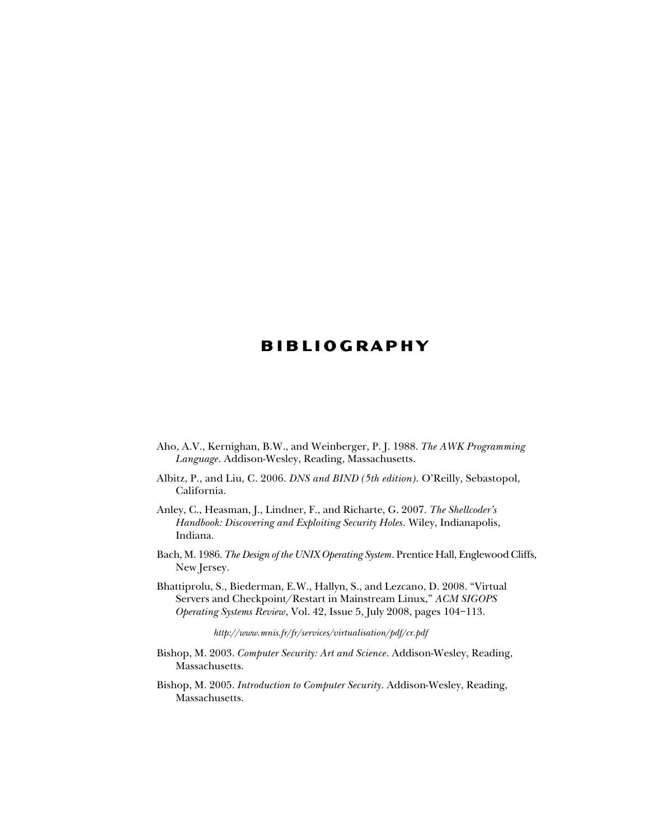## **BIBLIOGRAPHY**

- Aho, A.V., Kernighan, B.W., and Weinberger, P. J. 1988. The AWK Programming Language. Addison-Wesley, Reading, Massachusetts.
- Albitz, P., and Liu, C. 2006. DNS and BIND (5th edition). O'Reilly, Sebastopol, California.
- Anley, C., Heasman, J., Lindner, F., and Richarte, G. 2007. The Shellcoder's Handbook: Discovering and Exploiting Security Holes. Wiley, Indianapolis, Indiana.
- Bach, M. 1986. The Design of the UNIX Operating System. Prentice Hall, Englewood Cliffs, New Jersey.
- Bhattiprolu, S., Biederman, E.W., Hallyn, S., and Lezcano, D. 2008. "Virtual Servers and Checkpoint/Restart in Mainstream Linux," ACM SIGOPS Operating Systems Review, Vol. 42, Issue 5, July 2008, pages 104–113.

http://www.mnis.fr/fr/services/virtualisation/pdf/cr.pdf

- Bishop, M. 2003. Computer Security: Art and Science. Addison-Wesley, Reading, Massachusetts.
- Bishop, M. 2005. Introduction to Computer Security. Addison-Wesley, Reading, Massachusetts.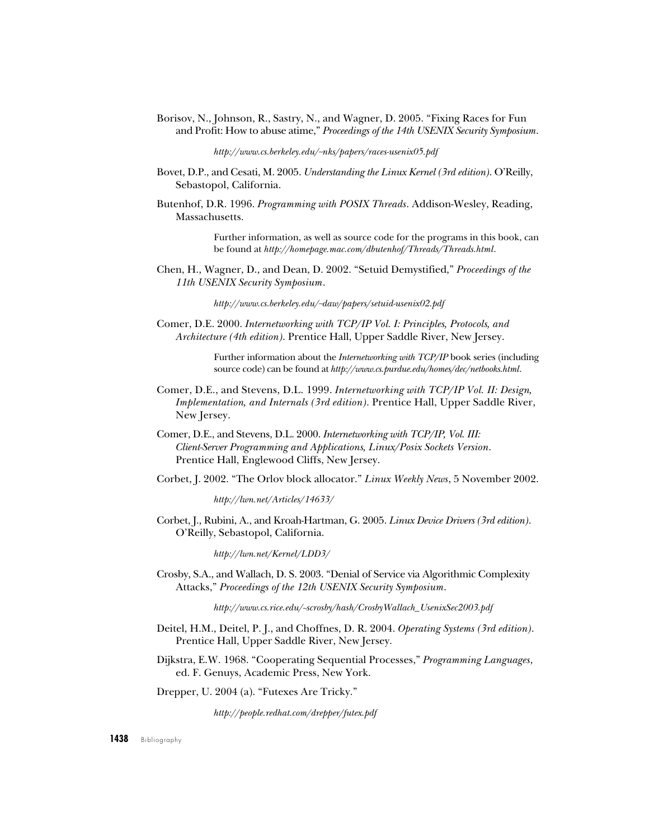Borisov, N., Johnson, R., Sastry, N., and Wagner, D. 2005. "Fixing Races for Fun and Profit: How to abuse atime," Proceedings of the 14th USENIX Security Symposium.

http://www.cs.berkeley.edu/~nks/papers/races-usenix05.pdf

- Bovet, D.P., and Cesati, M. 2005. Understanding the Linux Kernel (3rd edition). O'Reilly, Sebastopol, California.
- Butenhof, D.R. 1996. Programming with POSIX Threads. Addison-Wesley, Reading, Massachusetts.

Further information, as well as source code for the programs in this book, can be found at http://homepage.mac.com/dbutenhof/Threads/Threads.html.

Chen, H., Wagner, D., and Dean, D. 2002. "Setuid Demystified," Proceedings of the 11th USENIX Security Symposium.

http://www.cs.berkeley.edu/~daw/papers/setuid-usenix02.pdf

Comer, D.E. 2000. Internetworking with TCP/IP Vol. I: Principles, Protocols, and Architecture (4th edition). Prentice Hall, Upper Saddle River, New Jersey.

> Further information about the Internetworking with TCP/IP book series (including source code) can be found at http://www.cs.purdue.edu/homes/dec/netbooks.html.

- Comer, D.E., and Stevens, D.L. 1999. Internetworking with TCP/IP Vol. II: Design, Implementation, and Internals (3rd edition). Prentice Hall, Upper Saddle River, New Jersey.
- Comer, D.E., and Stevens, D.L. 2000. Internetworking with TCP/IP, Vol. III: Client-Server Programming and Applications, Linux/Posix Sockets Version. Prentice Hall, Englewood Cliffs, New Jersey.
- Corbet, J. 2002. "The Orlov block allocator." Linux Weekly News, 5 November 2002.

http://lwn.net/Articles/14633/

Corbet, J., Rubini, A., and Kroah-Hartman, G. 2005. Linux Device Drivers (3rd edition). O'Reilly, Sebastopol, California.

http://lwn.net/Kernel/LDD3/

Crosby, S.A., and Wallach, D. S. 2003. "Denial of Service via Algorithmic Complexity Attacks," Proceedings of the 12th USENIX Security Symposium.

http://www.cs.rice.edu/~scrosby/hash/CrosbyWallach\_UsenixSec2003.pdf

- Deitel, H.M., Deitel, P. J., and Choffnes, D. R. 2004. Operating Systems (3rd edition). Prentice Hall, Upper Saddle River, New Jersey.
- Dijkstra, E.W. 1968. "Cooperating Sequential Processes," Programming Languages, ed. F. Genuys, Academic Press, New York.

Drepper, U. 2004 (a). "Futexes Are Tricky."

http://people.redhat.com/drepper/futex.pdf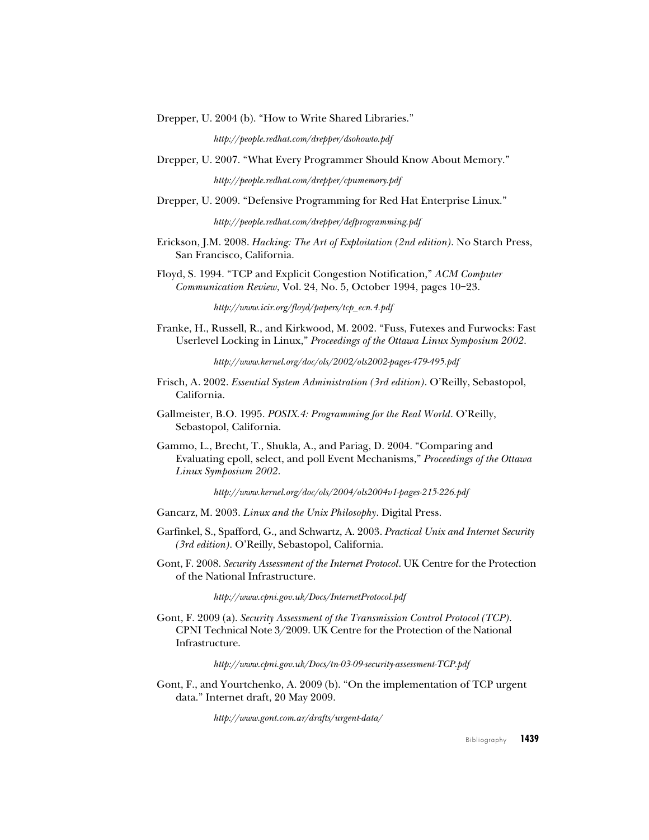Drepper, U. 2004 (b). "How to Write Shared Libraries."

http://people.redhat.com/drepper/dsohowto.pdf

Drepper, U. 2007. "What Every Programmer Should Know About Memory."

http://people.redhat.com/drepper/cpumemory.pdf

Drepper, U. 2009. "Defensive Programming for Red Hat Enterprise Linux."

http://people.redhat.com/drepper/defprogramming.pdf

- Erickson, J.M. 2008. Hacking: The Art of Exploitation (2nd edition). No Starch Press, San Francisco, California.
- Floyd, S. 1994. "TCP and Explicit Congestion Notification," ACM Computer Communication Review, Vol. 24, No. 5, October 1994, pages 10–23.

http://www.icir.org/floyd/papers/tcp\_ecn.4.pdf

Franke, H., Russell, R., and Kirkwood, M. 2002. "Fuss, Futexes and Furwocks: Fast Userlevel Locking in Linux," Proceedings of the Ottawa Linux Symposium 2002.

http://www.kernel.org/doc/ols/2002/ols2002-pages-479-495.pdf

- Frisch, A. 2002. Essential System Administration (3rd edition). O'Reilly, Sebastopol, California.
- Gallmeister, B.O. 1995. POSIX.4: Programming for the Real World. O'Reilly, Sebastopol, California.
- Gammo, L., Brecht, T., Shukla, A., and Pariag, D. 2004. "Comparing and Evaluating epoll, select, and poll Event Mechanisms," Proceedings of the Ottawa Linux Symposium 2002.

http://www.kernel.org/doc/ols/2004/ols2004v1-pages-215-226.pdf

- Gancarz, M. 2003. Linux and the Unix Philosophy. Digital Press.
- Garfinkel, S., Spafford, G., and Schwartz, A. 2003. Practical Unix and Internet Security (3rd edition). O'Reilly, Sebastopol, California.
- Gont, F. 2008. Security Assessment of the Internet Protocol. UK Centre for the Protection of the National Infrastructure.

http://www.cpni.gov.uk/Docs/InternetProtocol.pdf

Gont, F. 2009 (a). Security Assessment of the Transmission Control Protocol (TCP). CPNI Technical Note 3/2009. UK Centre for the Protection of the National Infrastructure.

http://www.cpni.gov.uk/Docs/tn-03-09-security-assessment-TCP.pdf

Gont, F., and Yourtchenko, A. 2009 (b). "On the implementation of TCP urgent data." Internet draft, 20 May 2009.

http://www.gont.com.ar/drafts/urgent-data/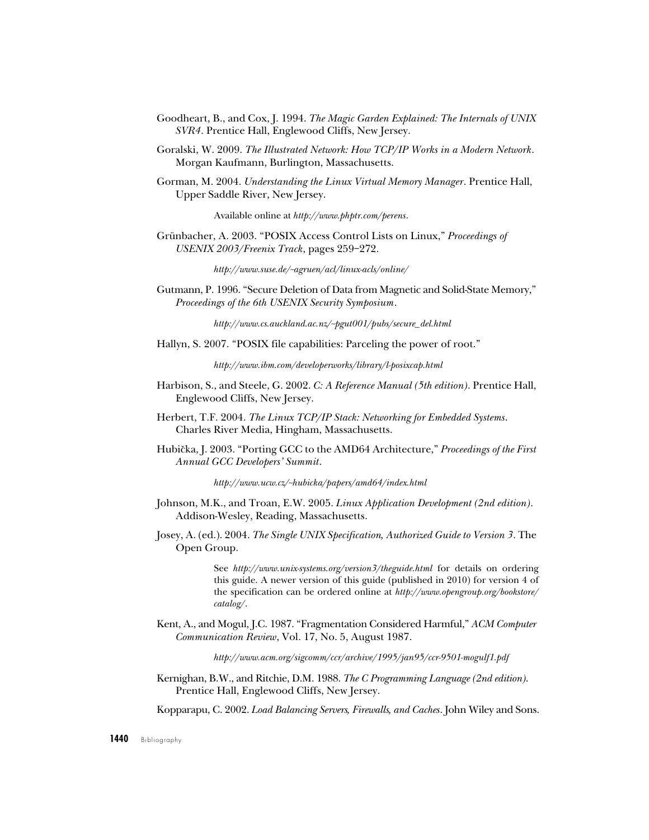- Goodheart, B., and Cox, J. 1994. The Magic Garden Explained: The Internals of UNIX SVR4. Prentice Hall, Englewood Cliffs, New Jersey.
- Goralski, W. 2009. The Illustrated Network: How TCP/IP Works in a Modern Network. Morgan Kaufmann, Burlington, Massachusetts.
- Gorman, M. 2004. Understanding the Linux Virtual Memory Manager. Prentice Hall, Upper Saddle River, New Jersey.

Available online at http://www.phptr.com/perens.

Grünbacher, A. 2003. "POSIX Access Control Lists on Linux," Proceedings of USENIX 2003/Freenix Track, pages 259–272.

http://www.suse.de/~agruen/acl/linux-acls/online/

Gutmann, P. 1996. "Secure Deletion of Data from Magnetic and Solid-State Memory," Proceedings of the 6th USENIX Security Symposium.

http://www.cs.auckland.ac.nz/~pgut001/pubs/secure\_del.html

Hallyn, S. 2007. "POSIX file capabilities: Parceling the power of root."

http://www.ibm.com/developerworks/library/l-posixcap.html

- Harbison, S., and Steele, G. 2002. C: A Reference Manual (5th edition). Prentice Hall, Englewood Cliffs, New Jersey.
- Herbert, T.F. 2004. The Linux TCP/IP Stack: Networking for Embedded Systems. Charles River Media, Hingham, Massachusetts.
- Hubička, J. 2003. "Porting GCC to the AMD64 Architecture," Proceedings of the First Annual GCC Developers' Summit.

http://www.ucw.cz/~hubicka/papers/amd64/index.html

- Johnson, M.K., and Troan, E.W. 2005. Linux Application Development (2nd edition). Addison-Wesley, Reading, Massachusetts.
- Josey, A. (ed.). 2004. The Single UNIX Specification, Authorized Guide to Version 3. The Open Group.

See http://www.unix-systems.org/version3/theguide.html for details on ordering this guide. A newer version of this guide (published in 2010) for version 4 of the specification can be ordered online at http://www.opengroup.org/bookstore/ catalog/.

Kent, A., and Mogul, J.C. 1987. "Fragmentation Considered Harmful," ACM Computer Communication Review, Vol. 17, No. 5, August 1987.

http://www.acm.org/sigcomm/ccr/archive/1995/jan95/ccr-9501-mogulf1.pdf

Kernighan, B.W., and Ritchie, D.M. 1988. The C Programming Language (2nd edition). Prentice Hall, Englewood Cliffs, New Jersey.

Kopparapu, C. 2002. Load Balancing Servers, Firewalls, and Caches. John Wiley and Sons.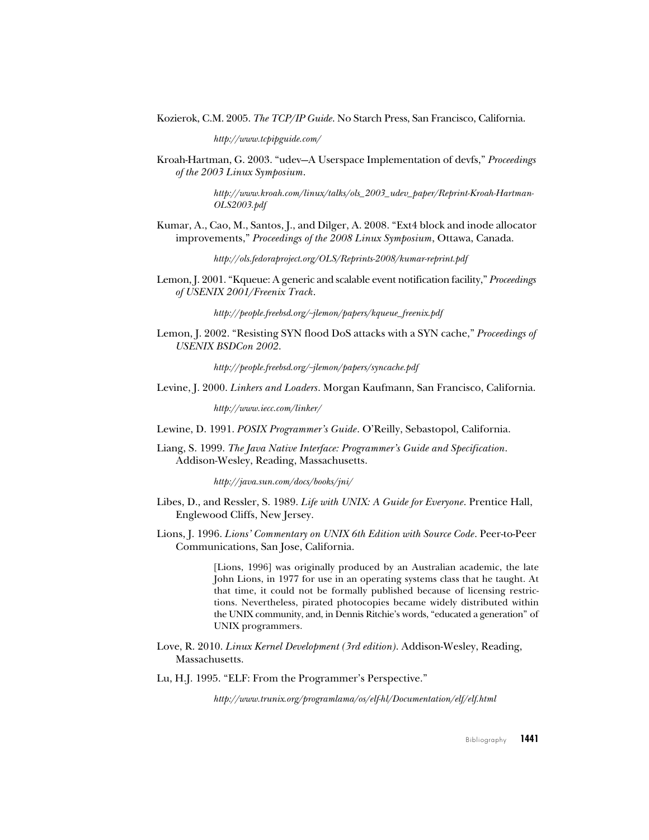Kozierok, C.M. 2005. The TCP/IP Guide. No Starch Press, San Francisco, California.

http://www.tcpipguide.com/

Kroah-Hartman, G. 2003. "udev—A Userspace Implementation of devfs," Proceedings of the 2003 Linux Symposium.

> http://www.kroah.com/linux/talks/ols\_2003\_udev\_paper/Reprint-Kroah-Hartman-OLS2003.pdf

Kumar, A., Cao, M., Santos, J., and Dilger, A. 2008. "Ext4 block and inode allocator improvements," Proceedings of the 2008 Linux Symposium, Ottawa, Canada.

http://ols.fedoraproject.org/OLS/Reprints-2008/kumar-reprint.pdf

Lemon, J. 2001. "Kqueue: A generic and scalable event notification facility," Proceedings of USENIX 2001/Freenix Track.

http://people.freebsd.org/~jlemon/papers/kqueue\_freenix.pdf

Lemon, J. 2002. "Resisting SYN flood DoS attacks with a SYN cache," Proceedings of USENIX BSDCon 2002.

http://people.freebsd.org/~jlemon/papers/syncache.pdf

Levine, J. 2000. Linkers and Loaders. Morgan Kaufmann, San Francisco, California.

http://www.iecc.com/linker/

Lewine, D. 1991. POSIX Programmer's Guide. O'Reilly, Sebastopol, California.

Liang, S. 1999. The Java Native Interface: Programmer's Guide and Specification. Addison-Wesley, Reading, Massachusetts.

http://java.sun.com/docs/books/jni/

- Libes, D., and Ressler, S. 1989. Life with UNIX: A Guide for Everyone. Prentice Hall, Englewood Cliffs, New Jersey.
- Lions, J. 1996. Lions' Commentary on UNIX 6th Edition with Source Code. Peer-to-Peer Communications, San Jose, California.

[Lions, 1996] was originally produced by an Australian academic, the late John Lions, in 1977 for use in an operating systems class that he taught. At that time, it could not be formally published because of licensing restrictions. Nevertheless, pirated photocopies became widely distributed within the UNIX community, and, in Dennis Ritchie's words, "educated a generation" of UNIX programmers.

- Love, R. 2010. Linux Kernel Development (3rd edition). Addison-Wesley, Reading, Massachusetts.
- Lu, H.J. 1995. "ELF: From the Programmer's Perspective."

http://www.trunix.org/programlama/os/elf-hl/Documentation/elf/elf.html

Bibliography **1441**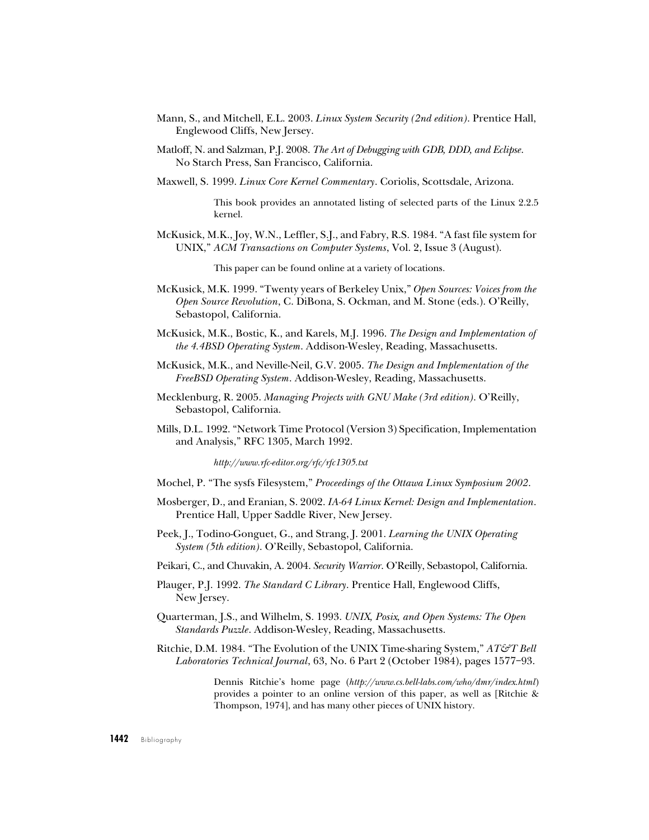- Mann, S., and Mitchell, E.L. 2003. Linux System Security (2nd edition). Prentice Hall, Englewood Cliffs, New Jersey.
- Matloff, N. and Salzman, P.J. 2008. The Art of Debugging with GDB, DDD, and Eclipse. No Starch Press, San Francisco, California.
- Maxwell, S. 1999. Linux Core Kernel Commentary. Coriolis, Scottsdale, Arizona.

This book provides an annotated listing of selected parts of the Linux 2.2.5 kernel.

McKusick, M.K., Joy, W.N., Leffler, S.J., and Fabry, R.S. 1984. "A fast file system for UNIX," ACM Transactions on Computer Systems, Vol. 2, Issue 3 (August).

This paper can be found online at a variety of locations.

- McKusick, M.K. 1999. "Twenty years of Berkeley Unix," Open Sources: Voices from the Open Source Revolution, C. DiBona, S. Ockman, and M. Stone (eds.). O'Reilly, Sebastopol, California.
- McKusick, M.K., Bostic, K., and Karels, M.J. 1996. The Design and Implementation of the 4.4BSD Operating System. Addison-Wesley, Reading, Massachusetts.
- McKusick, M.K., and Neville-Neil, G.V. 2005. The Design and Implementation of the FreeBSD Operating System. Addison-Wesley, Reading, Massachusetts.
- Mecklenburg, R. 2005. Managing Projects with GNU Make (3rd edition). O'Reilly, Sebastopol, California.
- Mills, D.L. 1992. "Network Time Protocol (Version 3) Specification, Implementation and Analysis," RFC 1305, March 1992.

http://www.rfc-editor.org/rfc/rfc1305.txt

- Mochel, P. "The sysfs Filesystem," Proceedings of the Ottawa Linux Symposium 2002.
- Mosberger, D., and Eranian, S. 2002. IA-64 Linux Kernel: Design and Implementation. Prentice Hall, Upper Saddle River, New Jersey.
- Peek, J., Todino-Gonguet, G., and Strang, J. 2001. Learning the UNIX Operating System (5th edition). O'Reilly, Sebastopol, California.
- Peikari, C., and Chuvakin, A. 2004. Security Warrior. O'Reilly, Sebastopol, California.
- Plauger, P.J. 1992. The Standard C Library. Prentice Hall, Englewood Cliffs, New Jersey.
- Quarterman, J.S., and Wilhelm, S. 1993. UNIX, Posix, and Open Systems: The Open Standards Puzzle. Addison-Wesley, Reading, Massachusetts.
- Ritchie, D.M. 1984. "The Evolution of the UNIX Time-sharing System,"  $AT\mathcal{F}T$  Bell Laboratories Technical Journal, 63, No. 6 Part 2 (October 1984), pages 1577–93.

Dennis Ritchie's home page (http://www.cs.bell-labs.com/who/dmr/index.html) provides a pointer to an online version of this paper, as well as [Ritchie & Thompson, 1974], and has many other pieces of UNIX history.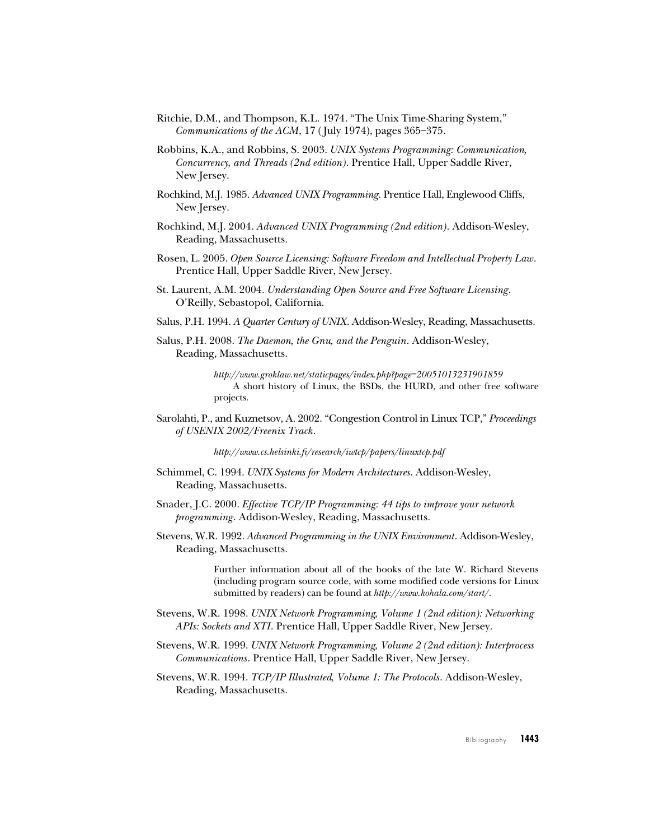- Ritchie, D.M., and Thompson, K.L. 1974. "The Unix Time-Sharing System," Communications of the ACM, 17 ( July 1974), pages 365–375.
- Robbins, K.A., and Robbins, S. 2003. UNIX Systems Programming: Communication, Concurrency, and Threads (2nd edition). Prentice Hall, Upper Saddle River, New Jersey.
- Rochkind, M.J. 1985. Advanced UNIX Programming. Prentice Hall, Englewood Cliffs, New Jersey.
- Rochkind, M.J. 2004. Advanced UNIX Programming (2nd edition). Addison-Wesley, Reading, Massachusetts.
- Rosen, L. 2005. Open Source Licensing: Software Freedom and Intellectual Property Law. Prentice Hall, Upper Saddle River, New Jersey.
- St. Laurent, A.M. 2004. Understanding Open Source and Free Software Licensing. O'Reilly, Sebastopol, California.
- Salus, P.H. 1994. A Quarter Century of UNIX. Addison-Wesley, Reading, Massachusetts.
- Salus, P.H. 2008. The Daemon, the Gnu, and the Penguin. Addison-Wesley, Reading, Massachusetts.

http://www.groklaw.net/staticpages/index.php?page=20051013231901859 A short history of Linux, the BSDs, the HURD, and other free software projects.

Sarolahti, P., and Kuznetsov, A. 2002. "Congestion Control in Linux TCP," Proceedings of USENIX 2002/Freenix Track.

http://www.cs.helsinki.fi/research/iwtcp/papers/linuxtcp.pdf

- Schimmel, C. 1994. UNIX Systems for Modern Architectures. Addison-Wesley, Reading, Massachusetts.
- Snader, J.C. 2000. Effective TCP/IP Programming: 44 tips to improve your network programming. Addison-Wesley, Reading, Massachusetts.
- Stevens, W.R. 1992. Advanced Programming in the UNIX Environment. Addison-Wesley, Reading, Massachusetts.

Further information about all of the books of the late W. Richard Stevens (including program source code, with some modified code versions for Linux submitted by readers) can be found at http://www.kohala.com/start/.

- Stevens, W.R. 1998. UNIX Network Programming, Volume 1 (2nd edition): Networking APIs: Sockets and XTI. Prentice Hall, Upper Saddle River, New Jersey.
- Stevens, W.R. 1999. UNIX Network Programming, Volume 2 (2nd edition): Interprocess Communications. Prentice Hall, Upper Saddle River, New Jersey.
- Stevens, W.R. 1994. TCP/IP Illustrated, Volume 1: The Protocols. Addison-Wesley, Reading, Massachusetts.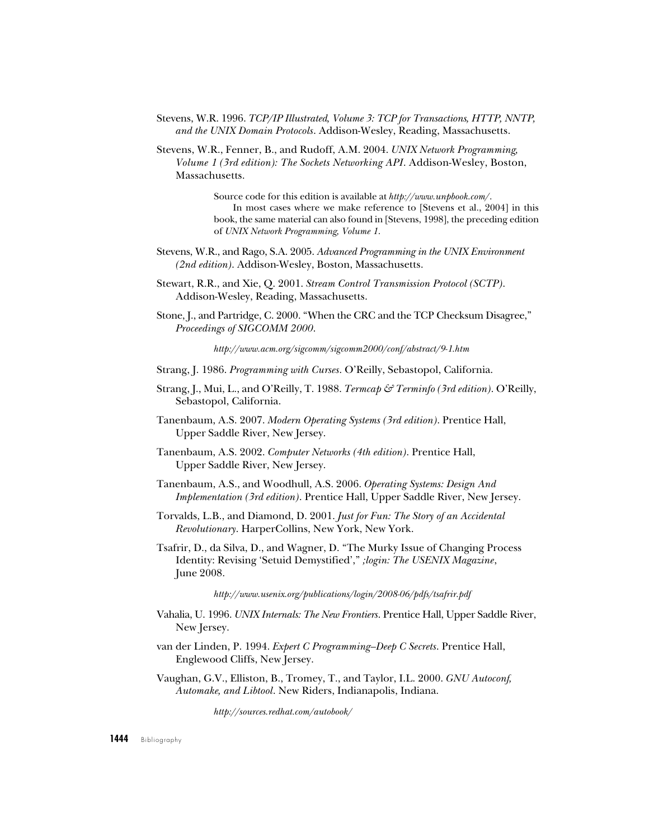- Stevens, W.R. 1996. TCP/IP Illustrated, Volume 3: TCP for Transactions, HTTP, NNTP, and the UNIX Domain Protocols. Addison-Wesley, Reading, Massachusetts.
- Stevens, W.R., Fenner, B., and Rudoff, A.M. 2004. UNIX Network Programming, Volume 1 (3rd edition): The Sockets Networking API. Addison-Wesley, Boston, Massachusetts.

Source code for this edition is available at http://www.unpbook.com/. In most cases where we make reference to [Stevens et al., 2004] in this book, the same material can also found in [Stevens, 1998], the preceding edition of UNIX Network Programming, Volume 1.

- Stevens, W.R., and Rago, S.A. 2005. Advanced Programming in the UNIX Environment (2nd edition). Addison-Wesley, Boston, Massachusetts.
- Stewart, R.R., and Xie, Q. 2001. Stream Control Transmission Protocol (SCTP). Addison-Wesley, Reading, Massachusetts.
- Stone, J., and Partridge, C. 2000. "When the CRC and the TCP Checksum Disagree," Proceedings of SIGCOMM 2000.

http://www.acm.org/sigcomm/sigcomm2000/conf/abstract/9-1.htm

- Strang, J. 1986. Programming with Curses. O'Reilly, Sebastopol, California.
- Strang, J., Mui, L., and O'Reilly, T. 1988. Termcap & Terminfo (3rd edition). O'Reilly, Sebastopol, California.
- Tanenbaum, A.S. 2007. Modern Operating Systems (3rd edition). Prentice Hall, Upper Saddle River, New Jersey.
- Tanenbaum, A.S. 2002. Computer Networks (4th edition). Prentice Hall, Upper Saddle River, New Jersey.
- Tanenbaum, A.S., and Woodhull, A.S. 2006. Operating Systems: Design And Implementation (3rd edition). Prentice Hall, Upper Saddle River, New Jersey.
- Torvalds, L.B., and Diamond, D. 2001. Just for Fun: The Story of an Accidental Revolutionary. HarperCollins, New York, New York.

Tsafrir, D., da Silva, D., and Wagner, D. "The Murky Issue of Changing Process Identity: Revising 'Setuid Demystified'," ;login: The USENIX Magazine, June 2008.

http://www.usenix.org/publications/login/2008-06/pdfs/tsafrir.pdf

- Vahalia, U. 1996. UNIX Internals: The New Frontiers. Prentice Hall, Upper Saddle River, New Jersey.
- van der Linden, P. 1994. Expert C Programming—Deep C Secrets. Prentice Hall, Englewood Cliffs, New Jersey.
- Vaughan, G.V., Elliston, B., Tromey, T., and Taylor, I.L. 2000. GNU Autoconf, Automake, and Libtool. New Riders, Indianapolis, Indiana.

http://sources.redhat.com/autobook/